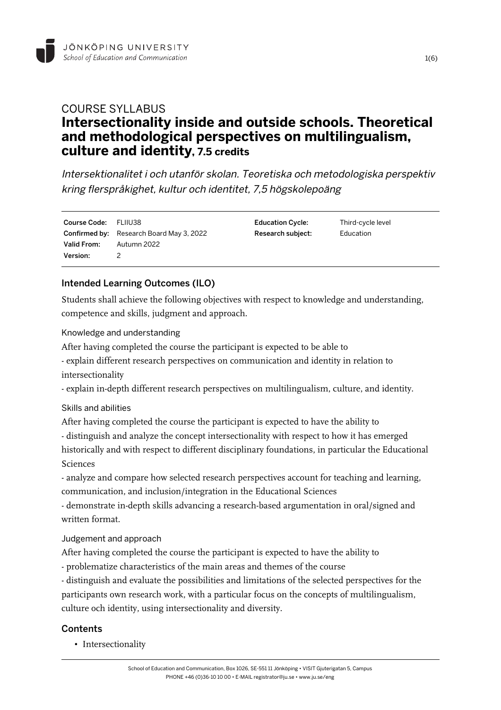

# COURSE SYLLABUS **Intersectionality inside and outside schools. Theoretical and methodological perspectives on multilingualism, culture and identity, 7.5 credits**

Intersektionalitet i och utanför skolan. Teoretiska och metodologiska perspektiv kring flerspråkighet, kultur och identitet, 7,5 högskolepoäng

Course Code: FLIIU38 Confirmed by: Research Board May 3, 2022 Valid From: Autumn 2022 Version: 2

Education Cycle: Third-cycle level Research subject: Education

## Intended Learning Outcomes (ILO)

Students shall achieve the following objectives with respect to knowledge and understanding, competence and skills, judgment and approach.

Knowledge and understanding

After having completed the course the participant is expected to be able to

- explain different research perspectives on communication and identity in relation to intersectionality

- explain in-depth different research perspectives on multilingualism, culture, and identity.

Skills and abilities

After having completed the course the participant is expected to have the ability to - distinguish and analyze the concept intersectionality with respect to how it has emerged historically and with respect to different disciplinary foundations, in particular the Educational Sciences

- analyze and compare how selected research perspectives account for teaching and learning, communication, and inclusion/integration in the Educational Sciences

- demonstrate in-depth skills advancing a research-based argumentation in oral/signed and written format.

Judgement and approach

After having completed the course the participant is expected to have the ability to

- problematize characteristics of the main areas and themes of the course

- distinguish and evaluate the possibilities and limitations of the selected perspectives for the participants own research work, with a particular focus on the concepts of multilingualism, culture och identity, using intersectionality and diversity.

### **Contents**

• Intersectionality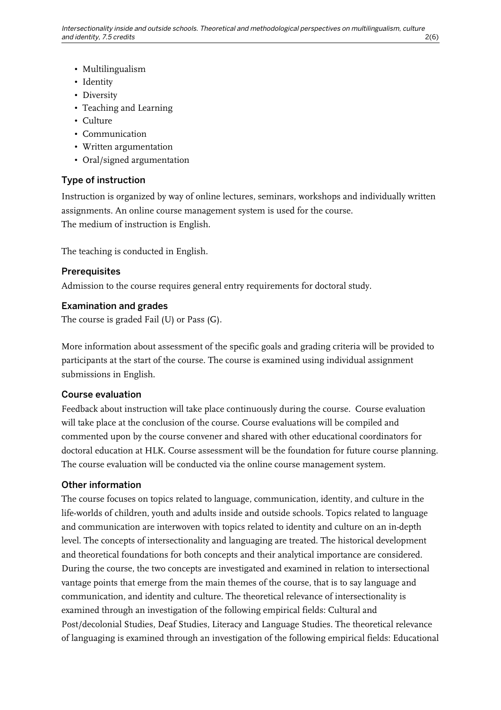- Multilingualism
- Identity
- Diversity
- Teaching and Learning
- Culture
- Communication
- Written argumentation
- Oral/signed argumentation

#### Type of instruction

Instruction is organized by way of online lectures, seminars, workshops and individually written assignments. An online course management system is used for the course. The medium of instruction is English.

The teaching is conducted in English.

#### **Prerequisites**

Admission to the course requires general entry requirements for doctoral study.

#### Examination and grades

The course is graded Fail (U) or Pass (G).

More information about assessment of the specific goals and grading criteria will be provided to participants at the start of the course. The course is examined using individual assignment submissions in English.

#### Course evaluation

Feedback about instruction will take place continuously during the course. Course evaluation will take place at the conclusion of the course. Course evaluations will be compiled and commented upon by the course convener and shared with other educational coordinators for doctoral education at HLK. Course assessment will be the foundation for future course planning. The course evaluation will be conducted via the online course management system.

#### Other information

The course focuses on topics related to language, communication, identity, and culture in the life-worlds of children, youth and adults inside and outside schools. Topics related to language and communication are interwoven with topics related to identity and culture on an in-depth level. The concepts of intersectionality and languaging are treated. The historical development and theoretical foundations for both concepts and their analytical importance are considered. During the course, the two concepts are investigated and examined in relation to intersectional vantage points that emerge from the main themes of the course, that is to say language and communication, and identity and culture. The theoretical relevance of intersectionality is examined through an investigation of the following empirical fields: Cultural and Post/decolonial Studies, Deaf Studies, Literacy and Language Studies. The theoretical relevance of languaging is examined through an investigation of the following empirical fields: Educational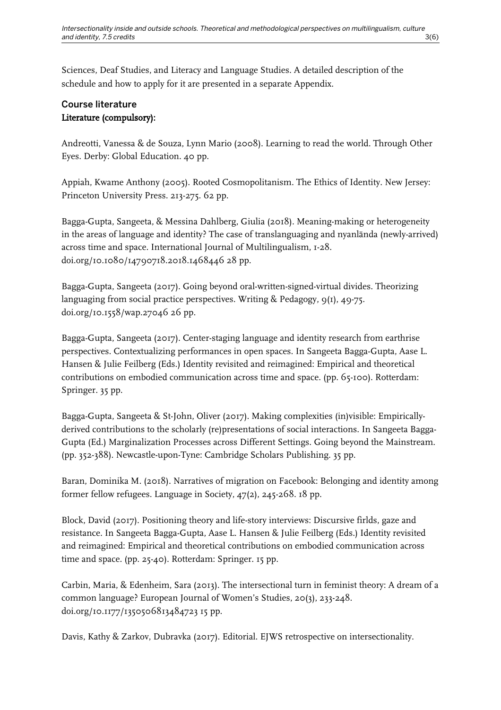Sciences, Deaf Studies, and Literacy and Language Studies. A detailed description of the schedule and how to apply for it are presented in a separate Appendix.

# Course literature Literature (compulsory):

Andreotti, Vanessa & de Souza, Lynn Mario (2008). Learning to read the world. Through Other Eyes. Derby: Global Education. 40 pp.

Appiah, Kwame Anthony (2005). Rooted Cosmopolitanism. The Ethics of Identity. New Jersey: Princeton University Press. 213-275. 62 pp.

Bagga-Gupta, Sangeeta, & Messina Dahlberg, Giulia (2018). Meaning-making or heterogeneity in the areas of language and identity? The case of translanguaging and nyanlända (newly-arrived) across time and space. International Journal of Multilingualism, 1-28. doi.org/10.1080/14790718.2018.1468446 28 pp.

Bagga-Gupta, Sangeeta (2017). Going beyond oral-written-signed-virtual divides. Theorizing languaging from social practice perspectives. Writing & Pedagogy, 9(1), 49-75. doi.org/10.1558/wap.27046 26 pp.

Bagga-Gupta, Sangeeta (2017). Center-staging language and identity research from earthrise perspectives. Contextualizing performances in open spaces. In Sangeeta Bagga-Gupta, Aase L. Hansen & Julie Feilberg (Eds.) Identity revisited and reimagined: Empirical and theoretical contributions on embodied communication across time and space. (pp. 65-100). Rotterdam: Springer. 35 pp.

Bagga-Gupta, Sangeeta & St-John, Oliver (2017). Making complexities (in)visible: Empiricallyderived contributions to the scholarly (re)presentations of social interactions. In Sangeeta Bagga-Gupta (Ed.) Marginalization Processes across Different Settings. Going beyond the Mainstream. (pp. 352-388). Newcastle-upon-Tyne: Cambridge Scholars Publishing. 35 pp.

Baran, Dominika M. (2018). Narratives of migration on Facebook: Belonging and identity among former fellow refugees. Language in Society, 47(2), 245-268. 18 pp.

Block, David (2017). Positioning theory and life-story interviews: Discursive firlds, gaze and resistance. In Sangeeta Bagga-Gupta, Aase L. Hansen & Julie Feilberg (Eds.) Identity revisited and reimagined: Empirical and theoretical contributions on embodied communication across time and space. (pp. 25-40). Rotterdam: Springer. 15 pp.

Carbin, Maria, & Edenheim, Sara (2013). The intersectional turn in feminist theory: A dream of a common language? European Journal of Women's Studies, 20(3), 233-248. doi.org/10.1177/1350506813484723 15 pp.

Davis, Kathy & Zarkov, Dubravka (2017). Editorial. EJWS retrospective on intersectionality.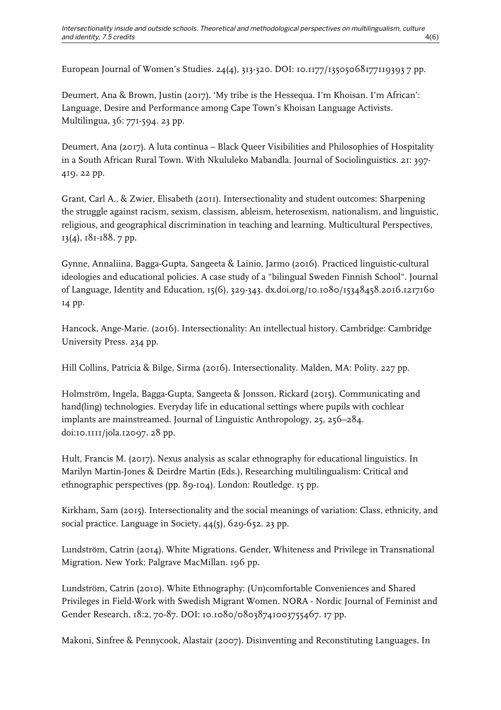European Journal of Women's Studies. 24(4), 313-320. DOI: 10.1177/13505068177119393 7 pp.

Deumert, Ana & Brown, Justin (2017). 'My tribe is the Hessequa. I'm Khoisan. I'm African': Language, Desire and Performance among Cape Town's Khoisan Language Activists. Multilingua, 36: 771-594. 23 pp.

Deumert, Ana (2017). A luta continua – Black Queer Visibilities and Philosophies of Hospitality in a South African Rural Town. With Nkululeko Mabandla. Journal of Sociolinguistics. 21: 397- 419. 22 pp.

Grant, Carl A., & Zwier, Elisabeth (2011). Intersectionality and student outcomes: Sharpening the struggle against racism, sexism, classism, ableism, heterosexism, nationalism, and linguistic, religious, and geographical discrimination in teaching and learning. Multicultural Perspectives, 13(4), 181-188. 7 pp.

Gynne, Annaliina, Bagga-Gupta, Sangeeta & Lainio, Jarmo (2016). Practiced linguistic-cultural ideologies and educational policies. A case study of a "bilingual Sweden Finnish School". Journal of Language, Identity and Education, 15(6), 329-343. dx.doi.org/10.1080/15348458.2016.1217160 14 pp.

Hancock, Ange-Marie. (2016). Intersectionality: An intellectual history. Cambridge: Cambridge University Press. 234 pp.

Hill Collins, Patricia & Bilge, Sirma (2016). Intersectionality. Malden, MA: Polity. 227 pp.

Holmström, Ingela, Bagga-Gupta, Sangeeta & Jonsson, Rickard (2015). Communicating and hand(ling) technologies. Everyday life in educational settings where pupils with cochlear implants are mainstreamed. Journal of Linguistic Anthropology, 25, 256–284. doi:10.1111/jola.12097. 28 pp.

Hult, Francis M. (2017). Nexus analysis as scalar ethnography for educational linguistics. In Marilyn Martin-Jones & Deirdre Martin (Eds.), Researching multilingualism: Critical and ethnographic perspectives (pp. 89-104). London: Routledge. 15 pp.

Kirkham, Sam (2015). Intersectionality and the social meanings of variation: Class, ethnicity, and social practice. Language in Society,  $44(5)$ , 629-652. 23 pp.

Lundström, Catrin (2014). White Migrations. Gender, Whiteness and Privilege in Transnational Migration. New York: Palgrave MacMillan. 196 pp.

Lundström, Catrin (2010). White Ethnography: (Un)comfortable Conveniences and Shared Privileges in Field-Work with Swedish Migrant Women. NORA - Nordic Journal of Feminist and Gender Research, 18:2, 70-87. DOI: 10.1080/08038741003755467. 17 pp.

Makoni, Sinfree & Pennycook, Alastair (2007). Disinventing and Reconstituting Languages. In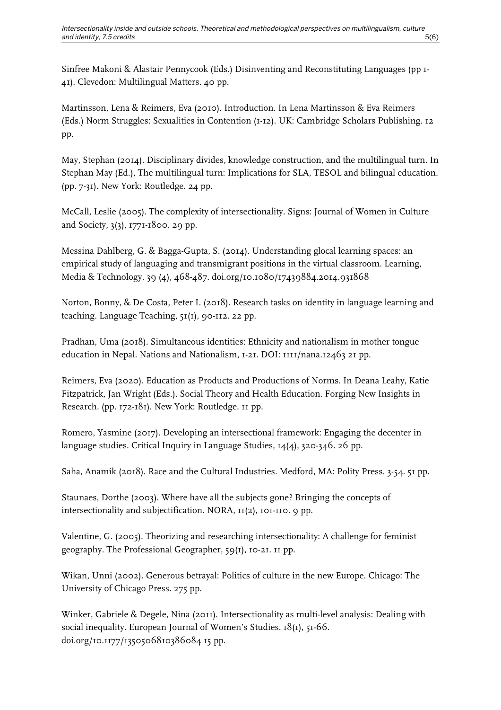Sinfree Makoni & Alastair Pennycook (Eds.) Disinventing and Reconstituting Languages (pp 1- 41). Clevedon: Multilingual Matters. 40 pp.

Martinsson, Lena & Reimers, Eva (2010). Introduction. In Lena Martinsson & Eva Reimers (Eds.) Norm Struggles: Sexualities in Contention (1-12). UK: Cambridge Scholars Publishing. 12 pp.

May, Stephan (2014). Disciplinary divides, knowledge construction, and the multilingual turn. In Stephan May (Ed.), The multilingual turn: Implications for SLA, TESOL and bilingual education. (pp. 7-31). New York: Routledge. 24 pp.

McCall, Leslie (2005). The complexity of intersectionality. Signs: Journal of Women in Culture and Society, 3(3), 1771-1800. 29 pp.

Messina Dahlberg, G. & Bagga-Gupta, S. (2014). Understanding glocal learning spaces: an empirical study of languaging and transmigrant positions in the virtual classroom. Learning, Media & Technology. 39 (4), 468-487. doi.org/10.1080/17439884.2014.931868

Norton, Bonny, & De Costa, Peter I. (2018). Research tasks on identity in language learning and teaching. Language Teaching, 51(1), 90-112. 22 pp.

Pradhan, Uma (2018). Simultaneous identities: Ethnicity and nationalism in mother tongue education in Nepal. Nations and Nationalism, 1-21. DOI: 1111/nana.12463 21 pp.

Reimers, Eva (2020). Education as Products and Productions of Norms. In Deana Leahy, Katie Fitzpatrick, Jan Wright (Eds.). Social Theory and Health Education. Forging New Insights in Research. (pp. 172-181). New York: Routledge. 11 pp.

Romero, Yasmine (2017). Developing an intersectional framework: Engaging the decenter in language studies. Critical Inquiry in Language Studies, 14(4), 320-346. 26 pp.

Saha, Anamik (2018). Race and the Cultural Industries. Medford, MA: Polity Press. 3-54. 51 pp.

Staunaes, Dorthe (2003). Where have all the subjects gone? Bringing the concepts of intersectionality and subjectification. NORA, 11(2), 101-110. 9 pp.

Valentine, G. (2005). Theorizing and researching intersectionality: A challenge for feminist geography. The Professional Geographer, 59(1), 10-21. 11 pp.

Wikan, Unni (2002). Generous betrayal: Politics of culture in the new Europe. Chicago: The University of Chicago Press. 275 pp.

Winker, Gabriele & Degele, Nina (2011). Intersectionality as multi-level analysis: Dealing with social inequality. European Journal of Women's Studies. 18(1), 51-66. doi.org/10.1177/1350506810386084 15 pp.